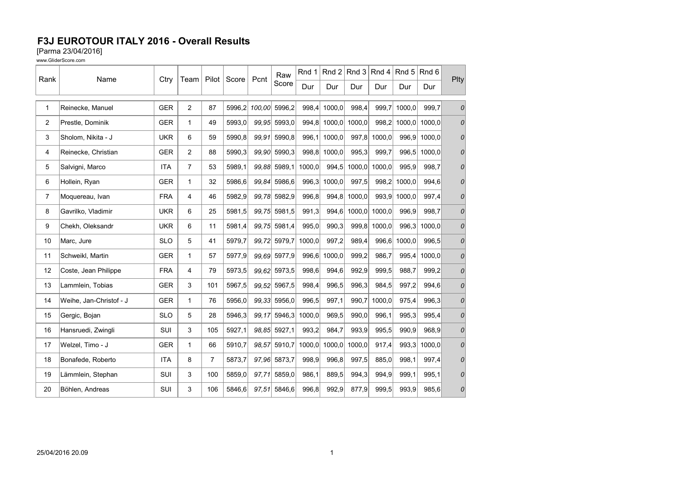[Parma 23/04/2016]

| Rank           | Name                    | Ctry       | Team           | Pilot          | Score  | Pcnt   | Raw          | Rnd 1  | Rnd 2        | $ $ Rnd 3 $ $ | Rnd 4  | Rnd 5  | Rnd 6  | Plty |
|----------------|-------------------------|------------|----------------|----------------|--------|--------|--------------|--------|--------------|---------------|--------|--------|--------|------|
|                |                         |            |                |                |        |        | Score        | Dur    | Dur          | Dur           | Dur    | Dur    | Dur    |      |
| 1              | Reinecke, Manuel        | <b>GER</b> | $\overline{2}$ | 87             | 5996,2 | 100,00 | 5996,2       | 998,4  | 1000,0       | 998,4         | 999,7  | 1000,0 | 999,7  | 0    |
| $\overline{c}$ | Prestle, Dominik        | <b>GER</b> | $\mathbf{1}$   | 49             | 5993.0 | 99.95  | 5993,0       | 994,8  | 1000.0       | 1000.0        | 998.2  | 1000,0 | 1000.0 | 0    |
| 3              | Sholom, Nikita - J      | <b>UKR</b> | 6              | 59             | 5990,8 | 99.91  | 5990,8       | 996,1  | 1000,0       | 997,8         | 1000,0 | 996,9  | 1000.0 | 0    |
| 4              | Reinecke, Christian     | <b>GER</b> | $\overline{c}$ | 88             | 5990.3 | 99,90  | 5990,3       |        | 998,8 1000,0 | 995,3         | 999,7  | 996,5  | 1000,0 | 0    |
| 5              | Salvigni, Marco         | <b>ITA</b> | $\overline{7}$ | 53             | 5989,1 | 99,88  | 5989,1       | 1000,0 | 994,5        | 1000,0        | 1000,0 | 995,9  | 998,7  | 0    |
| 6              | Hollein, Ryan           | <b>GER</b> | $\mathbf{1}$   | 32             | 5986,6 | 99,84  | 5986,6       | 996,3  | 1000,0       | 997,5         | 998,2  | 1000,0 | 994,6  | 0    |
| 7              | Moquereau, Ivan         | <b>FRA</b> | 4              | 46             | 5982,9 |        | 99,78 5982,9 | 996, 8 | 994,8        | 1000,0        | 993,9  | 1000,0 | 997.4  | 0    |
| 8              | Gavrilko, Vladimir      | <b>UKR</b> | 6              | 25             | 5981,5 | 99,75  | 5981,5       | 991,3  | 994,6        | 1000,0        | 1000,0 | 996,9  | 998.7  | 0    |
| 9              | Chekh, Oleksandr        | <b>UKR</b> | 6              | 11             | 5981,4 | 99,75  | 5981.4       | 995,0  | 990,3        | 999.8         | 1000,0 | 996,3  | 1000.0 | 0    |
| 10             | Marc, Jure              | <b>SLO</b> | 5              | 41             | 5979,7 |        | 99.72 5979.7 | 1000,0 | 997,2        | 989,4         | 996,6  | 1000,0 | 996,5  | 0    |
| 11             | Schweikl, Martin        | <b>GER</b> | $\mathbf{1}$   | 57             | 5977,9 | 99.69  | 5977,9       | 996,6  | 1000,0       | 999,2         | 986.7  | 995,4  | 1000.0 | 0    |
| 12             | Coste, Jean Philippe    | <b>FRA</b> | 4              | 79             | 5973,5 | 99.62  | 5973,5       | 998,6  | 994,6        | 992,9         | 999,5  | 988.7  | 999.2  | 0    |
| 13             | Lammlein, Tobias        | <b>GER</b> | 3              | 101            | 5967,5 |        | 99,52 5967,5 | 998,4  | 996,5        | 996,3         | 984,5  | 997,2  | 994,6  | 0    |
| 14             | Weihe, Jan-Christof - J | <b>GER</b> | 1              | 76             | 5956,0 | 99,33  | 5956,0       | 996,5  | 997,1        | 990,7         | 1000,0 | 975,4  | 996,3  | 0    |
| 15             | Gergic, Bojan           | <b>SLO</b> | 5              | 28             | 5946.3 | 99.17  | 5946,3       | 1000.0 | 969.5        | 990.0         | 996.1  | 995.3  | 995.4  | 0    |
| 16             | Hansruedi, Zwingli      | SUI        | 3              | 105            | 5927,1 |        | 98,85 5927,1 | 993,2  | 984,7        | 993,9         | 995,5  | 990,9  | 968,9  | 0    |
| 17             | Welzel, Timo - J        | <b>GER</b> | $\mathbf{1}$   | 66             | 5910,7 | 98,57  | 5910,7       | 1000,0 | 1000,0       | 1000,0        | 917,4  | 993,3  | 1000,0 | 0    |
| 18             | Bonafede, Roberto       | <b>ITA</b> | 8              | $\overline{7}$ | 5873,7 | 97.96  | 5873,7       | 998,9  | 996,8        | 997,5         | 885,0  | 998,1  | 997,4  | 0    |
| 19             | Lämmlein, Stephan       | <b>SUI</b> | 3              | 100            | 5859,0 | 97,71  | 5859,0       | 986,1  | 889,5        | 994,3         | 994,9  | 999,1  | 995,1  | 0    |
| 20             | Böhlen, Andreas         | SUI        | 3              | 106            | 5846.6 | 97.51  | 5846,6       | 996,8  | 992,9        | 877,9         | 999,5  | 993,9  | 985,6  | 0    |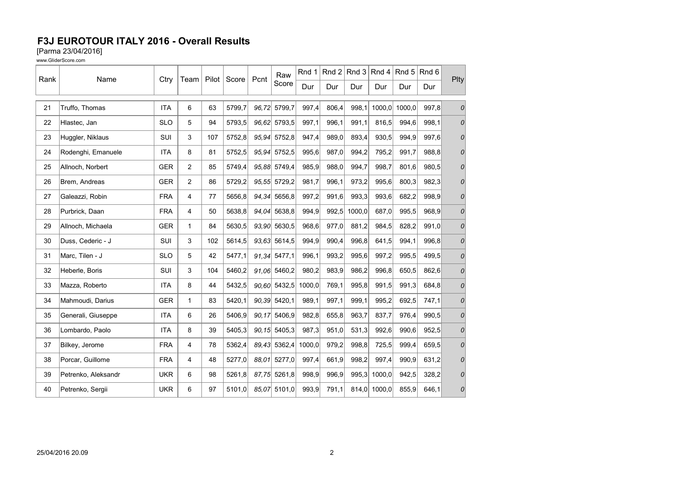[Parma 23/04/2016]

| Rank | Name                | Ctry       | Team           | Pilot | Score  | Pcnt  | Raw             | Rnd 1  | Rnd 2 |        | Rnd 3 Rnd 4 | Rnd 5  | Rnd 6 | Plty |
|------|---------------------|------------|----------------|-------|--------|-------|-----------------|--------|-------|--------|-------------|--------|-------|------|
|      |                     |            |                |       |        |       | Score           | Dur    | Dur   | Dur    | Dur         | Dur    | Dur   |      |
| 21   | Truffo, Thomas      | <b>ITA</b> | 6              | 63    | 5799,7 |       | 96,72 5799,7    | 997,4  | 806,4 | 998,1  | 1000,0      | 1000,0 | 997,8 | 0    |
| 22   | Hlastec, Jan        | <b>SLO</b> | 5              | 94    | 5793,5 | 96.62 | 5793.5          | 997,1  | 996,1 | 991.1  | 816.5       | 994.6  | 998.1 | 0    |
| 23   | Huggler, Niklaus    | SUI        | 3              | 107   | 5752,8 | 95.94 | 5752,8          | 947,4  | 989,0 | 893,4  | 930,5       | 994,9  | 997.6 | 0    |
| 24   | Rodenghi, Emanuele  | <b>ITA</b> | 8              | 81    | 5752,5 |       | 95,94 5752,5    | 995,6  | 987,0 | 994,2  | 795,2       | 991,7  | 988,8 | 0    |
| 25   | Allnoch, Norbert    | <b>GER</b> | $\overline{c}$ | 85    | 5749,4 | 95,88 | 5749,4          | 985,9  | 988,0 | 994,7  | 998,7       | 801,6  | 980,5 | 0    |
| 26   | Brem, Andreas       | <b>GER</b> | $\overline{2}$ | 86    | 5729,2 | 95,55 | 5729,2          | 981,7  | 996,1 | 973,2  | 995,6       | 800,3  | 982,3 | 0    |
| 27   | Galeazzi, Robin     | <b>FRA</b> | 4              | 77    | 5656,8 |       | 94,34 5656,8    | 997,2  | 991,6 | 993,3  | 993,6       | 682,2  | 998,9 | 0    |
| 28   | Purbrick, Daan      | <b>FRA</b> | 4              | 50    | 5638,8 | 94.04 | 5638,8          | 994,9  | 992,5 | 1000,0 | 687,0       | 995,5  | 968,9 | 0    |
| 29   | Allnoch, Michaela   | <b>GER</b> | $\mathbf{1}$   | 84    | 5630,5 | 93,90 | 5630,5          | 968,6  | 977,0 | 881,2  | 984,5       | 828,2  | 991,0 | 0    |
| 30   | Duss, Cederic - J   | SUI        | 3              | 102   | 5614,5 |       | 93.63 5614,5    | 994,9  | 990,4 | 996,8  | 641,5       | 994,1  | 996,8 | 0    |
| 31   | Marc, Tilen - J     | <b>SLO</b> | 5              | 42    | 5477,1 | 91,34 | 5477,1          | 996,1  | 993,2 | 995,6  | 997,2       | 995,5  | 499.5 | 0    |
| 32   | Heberle, Boris      | SUI        | 3              | 104   | 5460,2 | 91.06 | 5460,2          | 980,2  | 983,9 | 986,2  | 996,8       | 650,5  | 862.6 | 0    |
| 33   | Mazza, Roberto      | <b>ITA</b> | 8              | 44    | 5432,5 |       | $90,60$ 5432,5  | 1000,0 | 769,1 | 995,8  | 991,5       | 991,3  | 684,8 | 0    |
| 34   | Mahmoudi, Darius    | <b>GER</b> | 1              | 83    | 5420,1 | 90,39 | 5420,1          | 989,1  | 997,1 | 999,1  | 995,2       | 692,5  | 747,1 | 0    |
| 35   | Generali, Giuseppe  | <b>ITA</b> | 6              | 26    | 5406.9 | 90.17 | 5406,9          | 982,8  | 655,8 | 963,7  | 837,7       | 976,4  | 990.5 | 0    |
| 36   | Lombardo, Paolo     | <b>ITA</b> | 8              | 39    | 5405,3 |       | $90, 15$ 5405,3 | 987,3  | 951,0 | 531,3  | 992,6       | 990,6  | 952,5 | 0    |
| 37   | Bilkey, Jerome      | <b>FRA</b> | 4              | 78    | 5362,4 | 89,43 | 5362,4          | 1000,0 | 979,2 | 998,8  | 725,5       | 999,4  | 659,5 | 0    |
| 38   | Porcar, Guillome    | <b>FRA</b> | 4              | 48    | 5277,0 | 88.01 | 5277,0          | 997,4  | 661,9 | 998,2  | 997,4       | 990,9  | 631,2 | 0    |
| 39   | Petrenko, Aleksandr | <b>UKR</b> | 6              | 98    | 5261,8 |       | 87,75 5261,8    | 998,9  | 996,9 | 995,3  | 1000,0      | 942,5  | 328,2 | 0    |
| 40   | Petrenko, Sergii    | <b>UKR</b> | 6              | 97    | 5101.0 | 85,07 | 5101,0          | 993,9  | 791,1 | 814.0  | 1000,0      | 855,9  | 646,1 | 0    |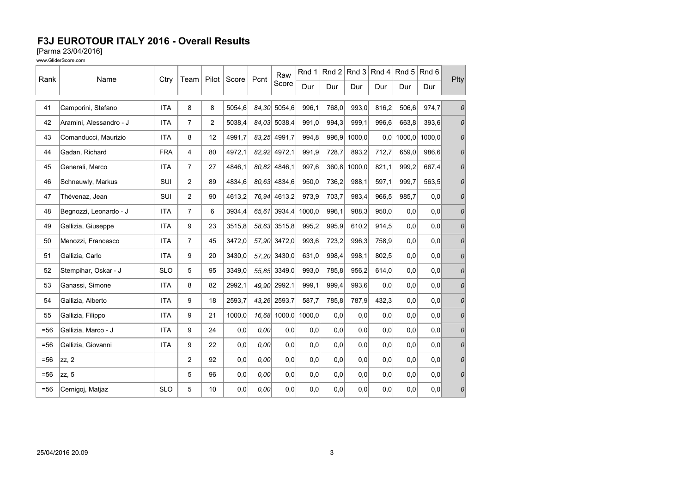[Parma 23/04/2016]

|        | Name                    |            |                |                |        |       | Raw          | Rnd 1  | $ $ Rnd 2 |        | Rnd $3$ Rnd $4$ | $\mathsf{Rnd} 5$ | Rnd 6  | Plty          |
|--------|-------------------------|------------|----------------|----------------|--------|-------|--------------|--------|-----------|--------|-----------------|------------------|--------|---------------|
| Rank   |                         | Ctry       | Team           | Pilot          | Score  | Pcnt  | Score        | Dur    | Dur       | Dur    | Dur             | Dur              | Dur    |               |
| 41     | Camporini, Stefano      | <b>ITA</b> | 8              | 8              | 5054,6 |       | 84,30 5054,6 | 996,1  | 768,0     | 993,0  | 816,2           | 506,6            | 974,7  | 0             |
| 42     | Aramini, Alessandro - J | <b>ITA</b> | $\overline{7}$ | $\overline{2}$ | 5038.4 | 84.03 | 5038,4       | 991,0  | 994,3     | 999.1  | 996.6           | 663,8            | 393.6  | 0             |
| 43     | Comanducci, Maurizio    | <b>ITA</b> | 8              | 12             | 4991,7 | 83,25 | 4991,7       | 994,8  | 996,9     | 1000,0 | 0,0             | 1000,0           | 1000.0 | 0             |
| 44     | Gadan, Richard          | <b>FRA</b> | $\overline{4}$ | 80             | 4972,1 |       | 82,92 4972,1 | 991,9  | 728,7     | 893,2  | 712,7           | 659,0            | 986,6  | 0             |
| 45     | Generali, Marco         | <b>ITA</b> | $\overline{7}$ | 27             | 4846.1 |       | 80.82 4846.1 | 997,6  | 360,8     | 1000.0 | 821,1           | 999.2            | 667.4  | 0             |
| 46     | Schneuwly, Markus       | <b>SUI</b> | 2              | 89             | 4834,6 |       | 80.63 4834,6 | 950,0  | 736,2     | 988,1  | 597,1           | 999,7            | 563,5  | 0             |
| 47     | Thévenaz, Jean          | SUI        | 2              | 90             | 4613,2 |       | 76,94 4613,2 | 973,9  | 703,7     | 983,4  | 966,5           | 985,7            | 0,0    | 0             |
| 48     | Begnozzi, Leonardo - J  | <b>ITA</b> | $\overline{7}$ | 6              | 3934,4 | 65,61 | 3934.4       | 1000,0 | 996,1     | 988,3  | 950,0           | 0,0              | 0,0    | 0             |
| 49     | Gallizia, Giuseppe      | <b>ITA</b> | 9              | 23             | 3515,8 |       | 58,63 3515,8 | 995,2  | 995,9     | 610,2  | 914,5           | 0.0              | 0,0    | $\mathcal{O}$ |
| 50     | Menozzi, Francesco      | <b>ITA</b> | $\overline{7}$ | 45             | 3472,0 |       | 57,90 3472,0 | 993,6  | 723,2     | 996,3  | 758,9           | 0,0              | 0,0    | 0             |
| 51     | Gallizia, Carlo         | <b>ITA</b> | 9              | 20             | 3430,0 |       | 57,20 3430,0 | 631,0  | 998,4     | 998,1  | 802,5           | 0,0              | 0,0    | $\mathcal{O}$ |
| 52     | Stempihar, Oskar - J    | <b>SLO</b> | 5              | 95             | 3349,0 |       | 55,85 3349,0 | 993,0  | 785,8     | 956,2  | 614.0           | 0.0              | 0.0    | $\mathcal{O}$ |
| 53     | Ganassi, Simone         | <b>ITA</b> | 8              | 82             | 2992,1 |       | 49,90 2992,1 | 999,1  | 999,4     | 993,6  | 0,0             | 0,0              | 0,0    | 0             |
| 54     | Gallizia, Alberto       | <b>ITA</b> | 9              | 18             | 2593,7 | 43,26 | 2593,7       | 587,7  | 785,8     | 787,9  | 432,3           | 0,0              | 0,0    | $\mathcal{O}$ |
| 55     | Gallizia, Filippo       | <b>ITA</b> | 9              | 21             | 1000,0 | 16,68 | 1000,0       | 1000,0 | 0,0       | 0,0    | 0,0             | 0,0              | 0,0    | 0             |
| $= 56$ | Gallizia, Marco - J     | <b>ITA</b> | 9              | 24             | 0,0    | 0.00  | 0,0          | 0,0    | 0,0       | 0,0    | 0,0             | 0.0              | 0,0    | 0             |
| $= 56$ | Gallizia, Giovanni      | <b>ITA</b> | 9              | 22             | 0,0    | 0,00  | 0,0          | 0,0    | 0,0       | 0,0    | 0.0             | 0,0              | 0,0    | $\mathcal{O}$ |
| $=56$  | zz, 2                   |            | 2              | 92             | 0,0    | 0,00  | 0,0          | 0,0    | 0,0       | 0,0    | 0,0             | 0,0              | 0,0    | 0             |
| $= 56$ | zz, 5                   |            | 5              | 96             | 0,0    | 0.00  | 0,0          | 0,0    | 0,0       | 0,0    | 0,0             | 0.0              | 0,0    | 0             |
| $= 56$ | Cernigoj, Matjaz        | <b>SLO</b> | 5              | 10             | 0,0    | 0,00  | 0,0          | 0,0    | 0,0       | 0,0    | 0,0             | 0,0              | 0,0    | 0             |